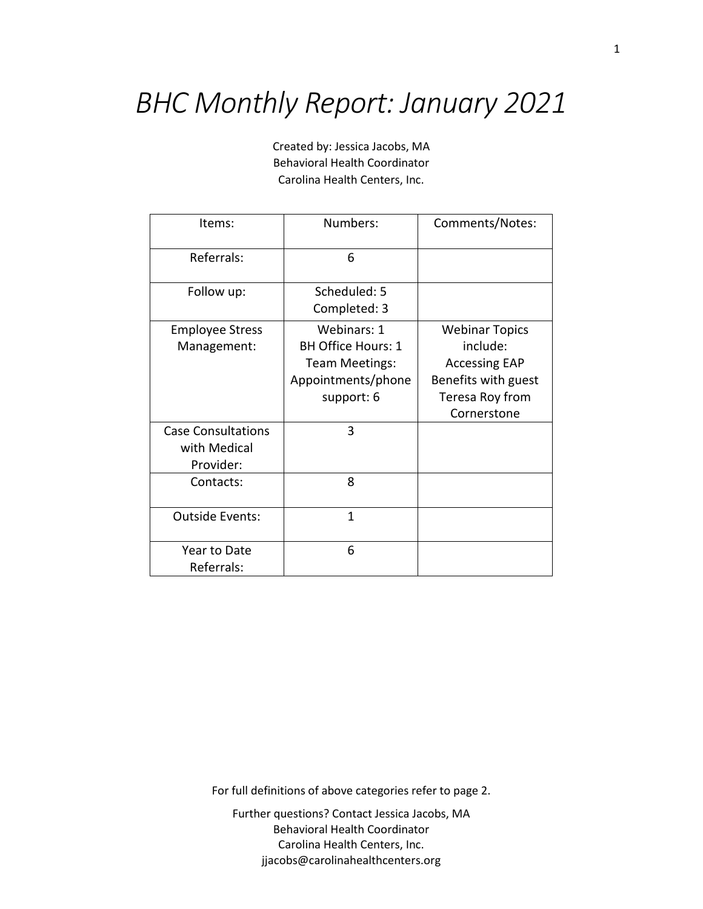## *BHC Monthly Report: January 2021*

Created by: Jessica Jacobs, MA Behavioral Health Coordinator Carolina Health Centers, Inc.

| Items:                    | Numbers:                  | Comments/Notes:       |
|---------------------------|---------------------------|-----------------------|
| Referrals:                | 6                         |                       |
| Follow up:                | Scheduled: 5              |                       |
|                           | Completed: 3              |                       |
| <b>Employee Stress</b>    | Webinars: 1               | <b>Webinar Topics</b> |
| Management:               | <b>BH Office Hours: 1</b> | include:              |
|                           | Team Meetings:            | <b>Accessing EAP</b>  |
|                           | Appointments/phone        | Benefits with guest   |
|                           | support: 6                | Teresa Roy from       |
|                           |                           | Cornerstone           |
| <b>Case Consultations</b> | 3                         |                       |
| with Medical              |                           |                       |
| Provider:                 |                           |                       |
| Contacts:                 | 8                         |                       |
|                           |                           |                       |
| <b>Outside Events:</b>    | 1                         |                       |
|                           |                           |                       |
| Year to Date              | 6                         |                       |
| Referrals:                |                           |                       |

For full definitions of above categories refer to page 2.

Further questions? Contact Jessica Jacobs, MA Behavioral Health Coordinator Carolina Health Centers, Inc. jjacobs@carolinahealthcenters.org